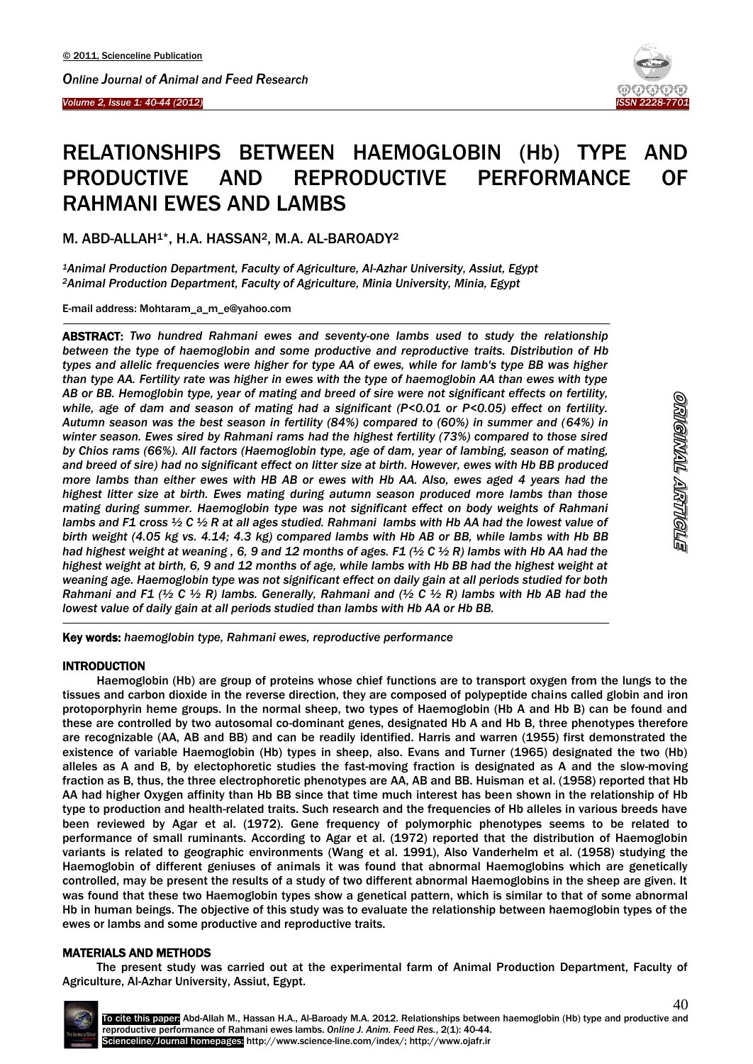Ī



# RELATIONSHIPS BETWEEN HAEMOGLOBIN (Hb) TYPE AND PRODUCTIVE AND REPRODUCTIVE PERFORMANCE OF RAHMANI EWES AND LAMBS

M. ABD-ALLAH1\*, H.A. HASSAN2, M.A. AL-BAROADY<sup>2</sup>

*<sup>1</sup>Animal Production Department, Faculty of Agriculture, Al-Azhar University, Assiut, Egypt <sup>2</sup>Animal Production Department, Faculty of Agriculture, Minia University, Minia, Egypt*

E-mail address: Mohtaram\_a\_m\_e@yahoo.com

l ABSTRACT: *Two hundred Rahmani ewes and seventy-one lambs used to study the relationship between the type of haemoglobin and some productive and reproductive traits. Distribution of Hb types and allelic frequencies were higher for type AA of ewes, while for lamb's type BB was higher than type AA. Fertility rate was higher in ewes with the type of haemoglobin AA than ewes with type AB or BB. Hemoglobin type, year of mating and breed of sire were not significant effects on fertility, while, age of dam and season of mating had a significant (P<0.01 or P<0.05) effect on fertility. Autumn season was the best season in fertility (84%) compared to (60%) in summer and (64%) in winter season. Ewes sired by Rahmani rams had the highest fertility (73%) compared to those sired by Chios rams (66%). All factors (Haemoglobin type, age of dam, year of lambing, season of mating, and breed of sire) had no significant effect on litter size at birth. However, ewes with Hb BB produced more lambs than either ewes with HB AB or ewes with Hb AA. Also, ewes aged 4 years had the highest litter size at birth. Ewes mating during autumn season produced more lambs than those mating during summer. Haemoglobin type was not significant effect on body weights of Rahmani lambs and F1 cross ½ C ½ R at all ages studied. Rahmani lambs with Hb AA had the lowest value of birth weight (4.05 kg vs. 4.14; 4.3 kg) compared lambs with Hb AB or BB, while lambs with Hb BB had highest weight at weaning , 6, 9 and 12 months of ages. F1 (½ C ½ R) lambs with Hb AA had the highest weight at birth, 6, 9 and 12 months of age, while lambs with Hb BB had the highest weight at weaning age. Haemoglobin type was not significant effect on daily gain at all periods studied for both Rahmani and F1 (½ C ½ R) lambs. Generally, Rahmani and (½ C ½ R) lambs with Hb AB had the lowest value of daily gain at all periods studied than lambs with Hb AA or Hb BB.*

Key words: *haemoglobin type, Rahmani ewes, reproductive performance*

# **INTRODUCTION**

-

Haemoglobin (Hb) are group of proteins whose chief functions are to transport oxygen from the lungs to the tissues and carbon dioxide in the reverse direction, they are composed of polypeptide chains called globin and iron protoporphyrin heme groups. In the normal sheep, two types of Haemoglobin (Hb A and Hb B) can be found and these are controlled by two autosomal co-dominant genes, designated Hb A and Hb B, three phenotypes therefore are recognizable (AA, AB and BB) and can be readily identified. Harris and warren (1955) first demonstrated the existence of variable Haemoglobin (Hb) types in sheep, also. Evans and Turner (1965) designated the two (Hb) alleles as A and B, by electophoretic studies the fast-moving fraction is designated as A and the slow-moving fraction as B, thus, the three electrophoretic phenotypes are AA, AB and BB. Huisman et al. (1958) reported that Hb AA had higher Oxygen affinity than Hb BB since that time much interest has been shown in the relationship of Hb type to production and health-related traits. Such research and the frequencies of Hb alleles in various breeds have been reviewed by Agar et al. (1972). Gene frequency of polymorphic phenotypes seems to be related to performance of small ruminants. According to Agar et al. (1972) reported that the distribution of Haemoglobin variants is related to geographic environments (Wang et al. 1991), Also Vanderhelm et al. (1958) studying the Haemoglobin of different geniuses of animals it was found that abnormal Haemoglobins which are genetically controlled, may be present the results of a study of two different abnormal Haemoglobins in the sheep are given. It was found that these two Haemoglobin types show a genetical pattern, which is similar to that of some abnormal Hb in human beings. The objective of this study was to evaluate the relationship between haemoglobin types of the ewes or lambs and some productive and reproductive traits.

# MATERIALS AND METHODS

The present study was carried out at the experimental farm of Animal Production Department, Faculty of Agriculture, Al-Azhar University, Assiut, Egypt.

40

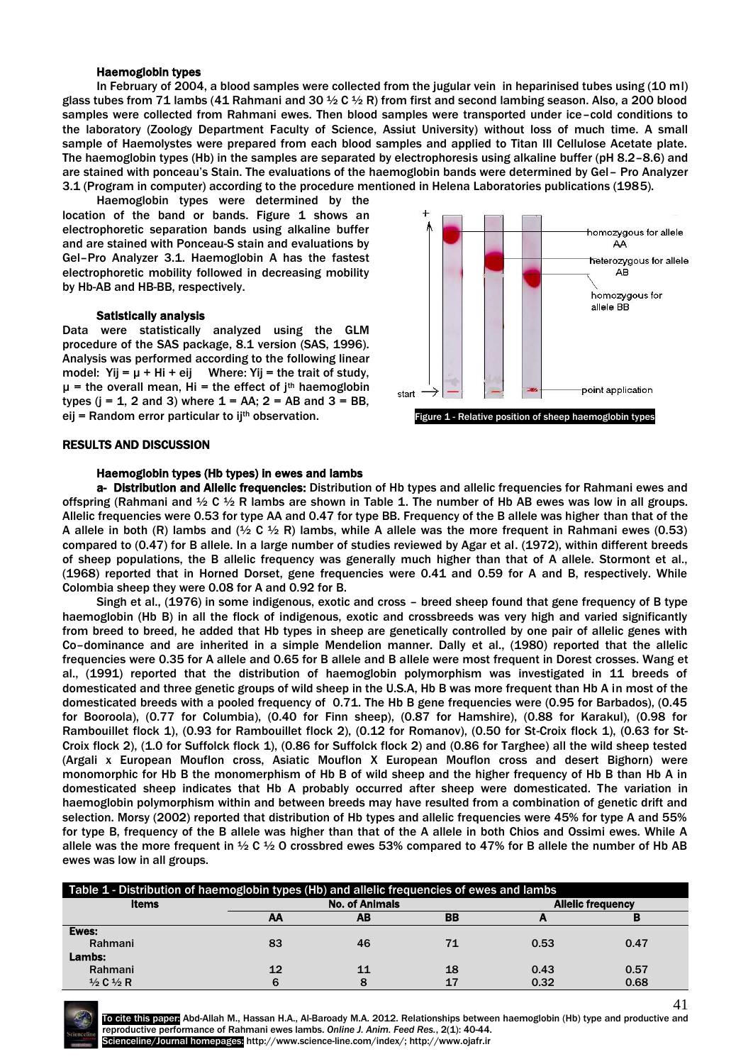## Haemoglobin types

In February of 2004, a blood samples were collected from the jugular vein in heparinised tubes using (10 ml) glass tubes from 71 lambs (41 Rahmani and 30  $\frac{1}{2}$  C  $\frac{1}{2}$  R) from first and second lambing season. Also, a 200 blood samples were collected from Rahmani ewes. Then blood samples were transported under ice–cold conditions to the laboratory (Zoology Department Faculty of Science, Assiut University) without loss of much time. A small sample of Haemolystes were prepared from each blood samples and applied to Titan III Cellulose Acetate plate. The haemoglobin types (Hb) in the samples are separated by electrophoresis using alkaline buffer (pH 8.2–8.6) and are stained with ponceau's Stain. The evaluations of the haemoglobin bands were determined by Gel– Pro Analyzer 3.1 (Program in computer) according to the procedure mentioned in Helena Laboratories publications (1985).

Haemoglobin types were determined by the location of the band or bands. Figure 1 shows an electrophoretic separation bands using alkaline buffer and are stained with Ponceau-S stain and evaluations by Gel–Pro Analyzer 3.1. Haemoglobin A has the fastest electrophoretic mobility followed in decreasing mobility by Hb-AB and HB-BB, respectively.

#### Satistically analysis

Data were statistically analyzed using the GLM procedure of the SAS package, 8.1 version (SAS, 1996). Analysis was performed according to the following linear model: Yij =  $\mu$  + Hi + eij Where: Yij = the trait of study,  $\mu$  = the overall mean, Hi = the effect of  $i<sup>th</sup>$  haemoglobin types ( $j = 1$ , 2 and 3) where  $1 = AA$ ; 2 = AB and 3 = BB,



## RESULTS AND DISCUSSION

#### Haemoglobin types (Hb types) in ewes and lambs

a- Distribution and Allelic frequencies: Distribution of Hb types and allelic frequencies for Rahmani ewes and offspring (Rahmani and  $\frac{1}{2}$  C  $\frac{1}{2}$  R lambs are shown in Table 1. The number of Hb AB ewes was low in all groups. Allelic frequencies were 0.53 for type AA and 0.47 for type BB. Frequency of the B allele was higher than that of the A allele in both (R) lambs and ( $\frac{1}{2}$  C  $\frac{1}{2}$  R) lambs, while A allele was the more frequent in Rahmani ewes (0.53) compared to (0.47) for B allele. In a large number of studies reviewed by Agar et al. (1972), within different breeds of sheep populations, the B allelic frequency was generally much higher than that of A allele. Stormont et al., (1968) reported that in Horned Dorset, gene frequencies were 0.41 and 0.59 for A and B, respectively. While Colombia sheep they were 0.08 for A and 0.92 for B.

Singh et al., (1976) in some indigenous, exotic and cross – breed sheep found that gene frequency of B type haemoglobin (Hb B) in all the flock of indigenous, exotic and crossbreeds was very high and varied significantly from breed to breed, he added that Hb types in sheep are genetically controlled by one pair of allelic genes with Co–dominance and are inherited in a simple Mendelion manner. Dally et al., (1980) reported that the allelic frequencies were 0.35 for A allele and 0.65 for B allele and B allele were most frequent in Dorest crosses. Wang et al., (1991) reported that the distribution of haemoglobin polymorphism was investigated in 11 breeds of domesticated and three genetic groups of wild sheep in the U.S.A, Hb B was more frequent than Hb A in most of the domesticated breeds with a pooled frequency of 0.71. The Hb B gene frequencies were (0.95 for Barbados), (0.45 for Booroola), (0.77 for Columbia), (0.40 for Finn sheep), (0.87 for Hamshire), (0.88 for Karakul), (0.98 for Rambouillet flock 1), (0.93 for Rambouillet flock 2), (0.12 for Romanov), (0.50 for St-Croix flock 1), (0.63 for St-Croix flock 2), (1.0 for Suffolck flock 1), (0.86 for Suffolck flock 2) and (0.86 for Targhee) all the wild sheep tested (Argali x European Mouflon cross, Asiatic Mouflon X European Mouflon cross and desert Bighorn) were monomorphic for Hb B the monomerphism of Hb B of wild sheep and the higher frequency of Hb B than Hb A in domesticated sheep indicates that Hb A probably occurred after sheep were domesticated. The variation in haemoglobin polymorphism within and between breeds may have resulted from a combination of genetic drift and selection. Morsy (2002) reported that distribution of Hb types and allelic frequencies were 45% for type A and 55% for type B, frequency of the B allele was higher than that of the A allele in both Chios and Ossimi ewes. While A allele was the more frequent in  $\frac{1}{2}$  C  $\frac{1}{2}$  O crossbred ewes 53% compared to 47% for B allele the number of Hb AB ewes was low in all groups.

| Table 1 - Distribution of haemoglobin types (Hb) and allelic frequencies of ewes and lambs |                                                   |    |    |      |          |  |  |  |  |
|--------------------------------------------------------------------------------------------|---------------------------------------------------|----|----|------|----------|--|--|--|--|
| <b>Items</b>                                                                               | <b>No. of Animals</b><br><b>Allelic frequency</b> |    |    |      |          |  |  |  |  |
|                                                                                            | АΑ                                                | AB | BB |      | <b>I</b> |  |  |  |  |
| Ewes:                                                                                      |                                                   |    |    |      |          |  |  |  |  |
| Rahmani                                                                                    | 83                                                | 46 | 71 | 0.53 | 0.47     |  |  |  |  |
| Lambs:                                                                                     |                                                   |    |    |      |          |  |  |  |  |
| Rahmani                                                                                    | 12                                                | 11 | 18 | 0.43 | 0.57     |  |  |  |  |
| $\frac{1}{2}$ C $\frac{1}{2}$ R                                                            |                                                   | 8  | 17 | 0.32 | 0.68     |  |  |  |  |



To cite this paper: Abd-Allah M., Hassan H.A., Al-Baroady M.A. 2012. Relationships between haemoglobin (Hb) type and productive and reproductive performance of Rahmani ewes lambs. *Online J. Anim. Feed Res.*, 2(1): 40-44. Scienceline/Journal homepages: http://www.science-line.com/index/; http://www.ojafr.ir

41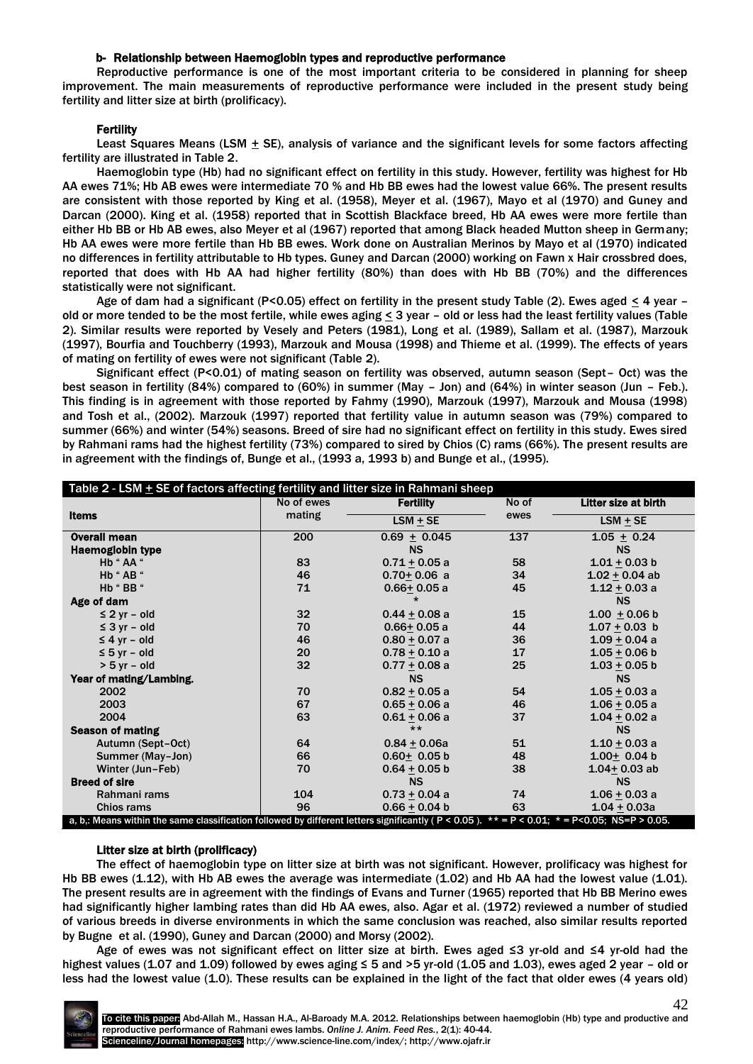## b- Relationship between Haemoglobin types and reproductive performance

Reproductive performance is one of the most important criteria to be considered in planning for sheep improvement. The main measurements of reproductive performance were included in the present study being fertility and litter size at birth (prolificacy).

# **Fertility**

Least Squares Means (LSM  $\pm$  SE), analysis of variance and the significant levels for some factors affecting fertility are illustrated in Table 2.

Haemoglobin type (Hb) had no significant effect on fertility in this study. However, fertility was highest for Hb AA ewes 71%; Hb AB ewes were intermediate 70 % and Hb BB ewes had the lowest value 66%. The present results are consistent with those reported by King et al. (1958), Meyer et al. (1967), Mayo et al (1970) and Guney and Darcan (2000). King et al. (1958) reported that in Scottish Blackface breed, Hb AA ewes were more fertile than either Hb BB or Hb AB ewes, also Meyer et al (1967) reported that among Black headed Mutton sheep in Germany; Hb AA ewes were more fertile than Hb BB ewes. Work done on Australian Merinos by Mayo et al (1970) indicated no differences in fertility attributable to Hb types. Guney and Darcan (2000) working on Fawn x Hair crossbred does, reported that does with Hb AA had higher fertility (80%) than does with Hb BB (70%) and the differences statistically were not significant.

Age of dam had a significant (P<0.05) effect on fertility in the present study Table (2). Ewes aged < 4 year – old or more tended to be the most fertile, while ewes aging < 3 year – old or less had the least fertility values (Table 2). Similar results were reported by Vesely and Peters (1981), Long et al. (1989), Sallam et al. (1987), Marzouk (1997), Bourfia and Touchberry (1993), Marzouk and Mousa (1998) and Thieme et al. (1999). The effects of years of mating on fertility of ewes were not significant (Table 2).

Significant effect (P<0.01) of mating season on fertility was observed, autumn season (Sept– Oct) was the best season in fertility (84%) compared to (60%) in summer (May – Jon) and (64%) in winter season (Jun – Feb.). This finding is in agreement with those reported by Fahmy (1990), Marzouk (1997), Marzouk and Mousa (1998) and Tosh et al., (2002). Marzouk (1997) reported that fertility value in autumn season was (79%) compared to summer (66%) and winter (54%) seasons. Breed of sire had no significant effect on fertility in this study. Ewes sired by Rahmani rams had the highest fertility (73%) compared to sired by Chios (C) rams (66%). The present results are in agreement with the findings of, Bunge et al., (1993 a, 1993 b) and Bunge et al., (1995).

| Table 2 - LSM $\pm$ SE of factors affecting fertility and litter size in Rahmani sheep                                                                  |            |                  |       |                      |  |  |  |  |  |
|---------------------------------------------------------------------------------------------------------------------------------------------------------|------------|------------------|-------|----------------------|--|--|--|--|--|
|                                                                                                                                                         | No of ewes | <b>Fertility</b> | No of | Litter size at birth |  |  |  |  |  |
| <b>Items</b>                                                                                                                                            | mating     | $LSM + SE$       | ewes  | $LSM + SE$           |  |  |  |  |  |
| <b>Overall mean</b>                                                                                                                                     | 200        | $0.69 + 0.045$   | 137   | $1.05 + 0.24$        |  |  |  |  |  |
| <b>Haemoglobin type</b>                                                                                                                                 |            | <b>NS</b>        |       | <b>NS</b>            |  |  |  |  |  |
| Hb "AA "                                                                                                                                                | 83         | $0.71 + 0.05a$   | 58    | $1.01 + 0.03$ b      |  |  |  |  |  |
| Hb "AB "                                                                                                                                                | 46         | $0.70 + 0.06$ a  | 34    | $1.02 + 0.04$ ab     |  |  |  |  |  |
| Hb "BB "                                                                                                                                                | 71         | $0.66 + 0.05a$   | 45    | $1.12 + 0.03 a$      |  |  |  |  |  |
| Age of dam                                                                                                                                              |            | $\star$          |       | <b>NS</b>            |  |  |  |  |  |
| $\leq$ 2 yr – old                                                                                                                                       | 32         | $0.44 + 0.08 a$  | 15    | $1.00 + 0.06 b$      |  |  |  |  |  |
| $\leq$ 3 yr – old                                                                                                                                       | 70         | $0.66 + 0.05 a$  | 44    | $1.07 + 0.03$ b      |  |  |  |  |  |
| $\leq$ 4 yr – old                                                                                                                                       | 46         | $0.80 + 0.07 a$  | 36    | $1.09 + 0.04 a$      |  |  |  |  |  |
| $\leq$ 5 yr - old                                                                                                                                       | 20         | $0.78 + 0.10 a$  | 17    | $1.05 + 0.06$ b      |  |  |  |  |  |
| $> 5$ yr - old                                                                                                                                          | 32         | $0.77 + 0.08$ a  | 25    | $1.03 + 0.05$ b      |  |  |  |  |  |
| Year of mating/Lambing.                                                                                                                                 |            | <b>NS</b>        |       | <b>NS</b>            |  |  |  |  |  |
| 2002                                                                                                                                                    | 70         | $0.82 + 0.05 a$  | 54    | $1.05 + 0.03$ a      |  |  |  |  |  |
| 2003                                                                                                                                                    | 67         | $0.65 + 0.06 a$  | 46    | $1.06 + 0.05 a$      |  |  |  |  |  |
| 2004                                                                                                                                                    | 63         | $0.61 + 0.06 a$  | 37    | $1.04 + 0.02 a$      |  |  |  |  |  |
| <b>Season of mating</b>                                                                                                                                 |            | $***$            |       | <b>NS</b>            |  |  |  |  |  |
| Autumn (Sept-Oct)                                                                                                                                       | 64         | $0.84 + 0.06a$   | 51    | $1.10 + 0.03 a$      |  |  |  |  |  |
| Summer (May-Jon)                                                                                                                                        | 66         | $0.60 + 0.05 b$  | 48    | $1.00 + 0.04 b$      |  |  |  |  |  |
| Winter (Jun-Feb)                                                                                                                                        | 70         | $0.64 + 0.05 b$  | 38    | $1.04 + 0.03$ ab     |  |  |  |  |  |
| <b>Breed of sire</b>                                                                                                                                    |            | <b>NS</b>        |       | <b>NS</b>            |  |  |  |  |  |
| Rahmani rams                                                                                                                                            | 104        | $0.73 + 0.04$ a  | 74    | $1.06 + 0.03 a$      |  |  |  |  |  |
| <b>Chios rams</b>                                                                                                                                       | 96         | $0.66 + 0.04$ b  | 63    | $1.04 + 0.03a$       |  |  |  |  |  |
| a, b,: Means within the same classification followed by different letters significantly ( $P < 0.05$ ). $** = P < 0.01$ ; $* = P < 0.05$ ; NS=P > 0.05. |            |                  |       |                      |  |  |  |  |  |

## Litter size at birth (prolificacy)

The effect of haemoglobin type on litter size at birth was not significant. However, prolificacy was highest for Hb BB ewes (1.12), with Hb AB ewes the average was intermediate (1.02) and Hb AA had the lowest value (1.01). The present results are in agreement with the findings of Evans and Turner (1965) reported that Hb BB Merino ewes had significantly higher lambing rates than did Hb AA ewes, also. Agar et al. (1972) reviewed a number of studied of various breeds in diverse environments in which the same conclusion was reached, also similar results reported by Bugne et al. (1990), Guney and Darcan (2000) and Morsy (2002).

Age of ewes was not significant effect on litter size at birth. Ewes aged ≤3 yr-old and ≤4 yr-old had the highest values (1.07 and 1.09) followed by ewes aging ≤ 5 and >5 yr-old (1.05 and 1.03), ewes aged 2 year – old or less had the lowest value (1.0). These results can be explained in the light of the fact that older ewes (4 years old)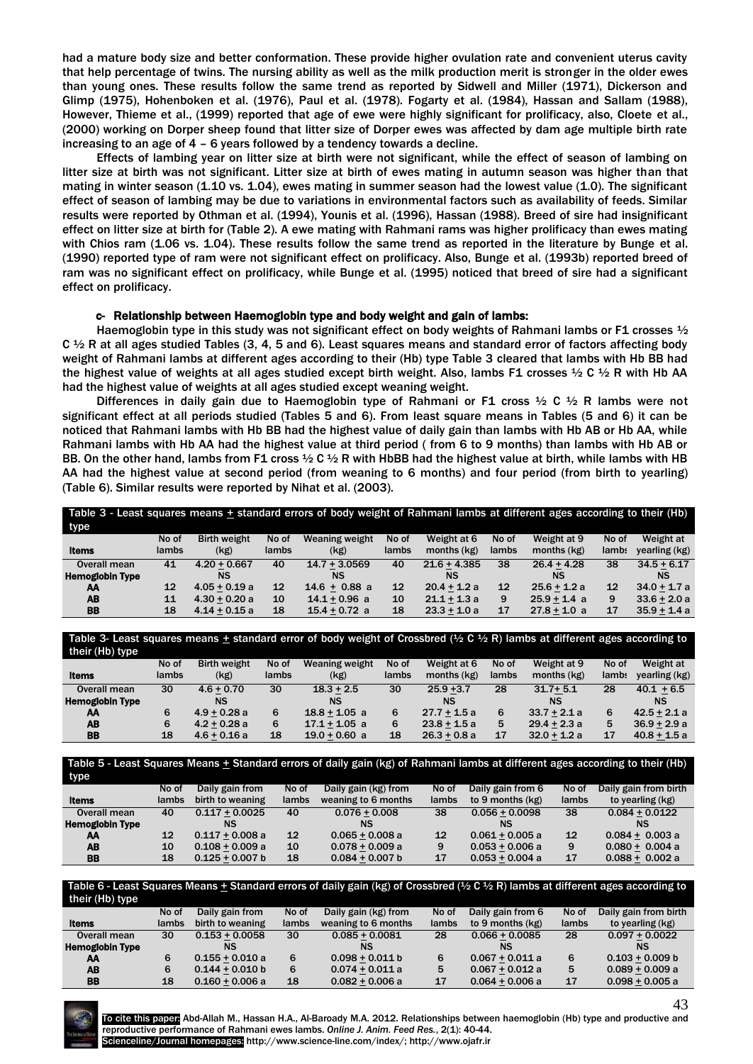had a mature body size and better conformation. These provide higher ovulation rate and convenient uterus cavity that help percentage of twins. The nursing ability as well as the milk production merit is stronger in the older ewes than young ones. These results follow the same trend as reported by Sidwell and Miller (1971), Dickerson and Glimp (1975), Hohenboken et al. (1976), Paul et al. (1978). Fogarty et al. (1984), Hassan and Sallam (1988), However, Thieme et al., (1999) reported that age of ewe were highly significant for prolificacy, also, Cloete et al., (2000) working on Dorper sheep found that litter size of Dorper ewes was affected by dam age multiple birth rate increasing to an age of 4 – 6 years followed by a tendency towards a decline.

Effects of lambing year on litter size at birth were not significant, while the effect of season of lambing on litter size at birth was not significant. Litter size at birth of ewes mating in autumn season was higher than that mating in winter season (1.10 vs. 1.04), ewes mating in summer season had the lowest value (1.0). The significant effect of season of lambing may be due to variations in environmental factors such as availability of feeds. Similar results were reported by Othman et al. (1994), Younis et al. (1996), Hassan (1988). Breed of sire had insignificant effect on litter size at birth for (Table 2). A ewe mating with Rahmani rams was higher prolificacy than ewes mating with Chios ram (1.06 vs. 1.04). These results follow the same trend as reported in the literature by Bunge et al. (1990) reported type of ram were not significant effect on prolificacy. Also, Bunge et al. (1993b) reported breed of ram was no significant effect on prolificacy, while Bunge et al. (1995) noticed that breed of sire had a significant effect on prolificacy.

# c- Relationship between Haemoglobin type and body weight and gain of lambs:

Haemoglobin type in this study was not significant effect on body weights of Rahmani lambs or F1 crosses 1/2 C  $\frac{1}{2}$  R at all ages studied Tables (3, 4, 5 and 6). Least squares means and standard error of factors affecting body weight of Rahmani lambs at different ages according to their (Hb) type Table 3 cleared that lambs with Hb BB had the highest value of weights at all ages studied except birth weight. Also, lambs F1 crosses 1/2 C 1/2 R with Hb AA had the highest value of weights at all ages studied except weaning weight.

Differences in daily gain due to Haemoglobin type of Rahmani or F1 cross  $\frac{1}{2}$  C  $\frac{1}{2}$  R lambs were not significant effect at all periods studied (Tables 5 and 6). From least square means in Tables (5 and 6) it can be noticed that Rahmani lambs with Hb BB had the highest value of daily gain than lambs with Hb AB or Hb AA, while Rahmani lambs with Hb AA had the highest value at third period ( from 6 to 9 months) than lambs with Hb AB or BB. On the other hand, lambs from F1 cross  $\frac{1}{2}$  C  $\frac{1}{2}$  R with HbBB had the highest value at birth, while lambs with HB AA had the highest value at second period (from weaning to 6 months) and four period (from birth to yearling) (Table 6). Similar results were reported by Nihat et al. (2003).

| Table 3 - Least squares means + standard errors of body weight of Rahmani lambs at different ages according to their (Hb) |       |                     |                   |                       |       |                |       |                |       |                |
|---------------------------------------------------------------------------------------------------------------------------|-------|---------------------|-------------------|-----------------------|-------|----------------|-------|----------------|-------|----------------|
| type                                                                                                                      |       |                     |                   |                       |       |                |       |                |       |                |
|                                                                                                                           | No of | <b>Birth weight</b> | No of             | <b>Weaning weight</b> | No of | Weight at 6    | No of | Weight at 9    | No of | Weight at      |
| <b>Items</b>                                                                                                              | lambs | (kg)                | lambs             | (kg)                  | lambs | months (kg)    | lambs | months (kg)    | lambs | yearling (kg)  |
| Overall mean                                                                                                              | 41    | $4.20 + 0.667$      | 40                | $14.7 + 3.0569$       | 40    | $21.6 + 4.385$ | 38    | $26.4 + 4.28$  | 38    | $34.5 + 6.17$  |
| <b>Hemoglobin Type</b>                                                                                                    |       | NS                  |                   | <b>NS</b>             |       | NS             |       | <b>NS</b>      |       | NS             |
| AA                                                                                                                        | 12    | $4.05 + 0.19 a$     | $12 \overline{ }$ | $14.6 + 0.88$ a       | 12    | $20.4 + 1.2 a$ | 12    | $25.6 + 1.2 a$ | 12    | $34.0 + 1.7 a$ |
| AB                                                                                                                        | 11    | $4.30 + 0.20 a$     | 10                | $14.1 + 0.96$ a       | 10    | $21.1 + 1.3a$  | 9     | $25.9 + 1.4$ a | 9     | $33.6 + 2.0 a$ |
| <b>BB</b>                                                                                                                 | 18    | $4.14 + 0.15a$      | 18                | $15.4 + 0.72$ a       | 18    | $23.3 + 1.0a$  | 17    | $27.8 + 1.0 a$ | 17    | $35.9 + 1.4a$  |

Table 3- Least squares means  $\pm$  standard error of body weight of Crossbred (½ C ½ R) lambs at different ages according to their (Hb) type

| ultu (lib) type        |       |                     |       |                       |       |                |       |                |       |                |
|------------------------|-------|---------------------|-------|-----------------------|-------|----------------|-------|----------------|-------|----------------|
|                        | No of | <b>Birth weight</b> | No of | <b>Weaning weight</b> | No of | Weight at 6    | No of | Weight at 9    | No of | Weight at      |
| <b>Items</b>           | lambs | (kg)                | lambs | (kg)                  | lambs | months $(kg)$  | lambs | months $(kg)$  | lamb: | yearling (kg)  |
| Overall mean           | 30    | $4.6 + 0.70$        | 30    | $18.3 + 2.5$          | 30    | $25.9 + 3.7$   | 28    | $31.7 + 5.1$   | 28    | $40.1 + 6.5$   |
| <b>Hemoglobin Type</b> |       | <b>NS</b>           |       | NS                    |       | <b>NS</b>      |       | NS             |       | <b>NS</b>      |
| AA                     | 6     | $4.9 + 0.28$ a      |       | $18.8 + 1.05$ a       |       | $27.7 + 1.5a$  | 6     | $33.7 + 2.1a$  | 6     | $42.5 + 2.1 a$ |
| <b>AB</b>              | 6     | $4.2 + 0.28$ a      |       | $17.1 + 1.05$ a       |       | $23.8 + 1.5a$  | 5     | $29.4 + 2.3a$  | 5     | $36.9 + 2.9 a$ |
| <b>BB</b>              | 18    | $4.6 + 0.16$ a      | 18    | $19.0 + 0.60$ a       | 18    | $26.3 + 0.8 a$ | 17    | $32.0 + 1.2 a$ | 17    | $40.8 + 1.5a$  |

Table 5 - Least Squares Means  $\pm$  Standard errors of daily gain (kg) of Rahmani lambs at different ages according to their (Hb) type

| $\blacksquare$         |       |                   |       |                      |       |                   |       |                       |
|------------------------|-------|-------------------|-------|----------------------|-------|-------------------|-------|-----------------------|
|                        | No of | Daily gain from   | No of | Daily gain (kg) from | No of | Daily gain from 6 | No of | Daily gain from birth |
| ltems                  | lambs | birth to weaning  | lambs | weaning to 6 months  | lambs | to 9 months (kg)  | lambs | to yearling (kg)      |
| Overall mean           | 40    | $0.117 + 0.0025$  | 40    | $0.076 + 0.008$      | 38    | $0.056 + 0.0098$  | 38    | $0.084 + 0.0122$      |
| <b>Hemoglobin Type</b> |       |                   |       | NS                   |       | <b>NS</b>         |       | <b>NS</b>             |
| AA                     | 12    | $0.117 + 0.008$ a | 12    | $0.065 + 0.008a$     | 12    | $0.061 + 0.005 a$ | 12    | $0.084 + 0.003 a$     |
| AB                     | 10    | $0.108 + 0.009 a$ | 10    | $0.078 + 0.009 a$    | 9     | $0.053 + 0.006 a$ | 9     | $0.080 + 0.004 a$     |
| BB                     | 18    | $0.125 + 0.007$ b | 18    | $0.084 + 0.007 b$    | 17    | $0.053 + 0.004$ a | 17    | $0.088 + 0.002 a$     |

#### Table 6 - Least Squares Means  $\pm$  Standard errors of daily gain (kg) of Crossbred (½ C ½ R) lambs at different ages according to their (Hh) type

| No of | Daily gain from   | No of        | Daily gain (kg) from | No of | Daily gain from 6 | No of | Daily gain from birth |
|-------|-------------------|--------------|----------------------|-------|-------------------|-------|-----------------------|
| lambs | birth to weaning  | <b>lambs</b> | weaning to 6 months  | lambs | to 9 months (kg)  | lambs | to yearling (kg)      |
| 30    | $0.153 + 0.0058$  | 30           | $0.085 + 0.0081$     | 28    | $0.066 + 0.0085$  | 28    | $0.097 + 0.0022$      |
|       | NS                |              | NS                   |       | <b>NS</b>         |       |                       |
| 6     | $0.155 + 0.010 a$ |              | $0.098 + 0.011 b$    | 6     | $0.067 + 0.011 a$ | 6     | $0.103 + 0.009 b$     |
| 6     | $0.144 + 0.010 b$ | 6            | $0.074 + 0.011 a$    | 5     | $0.067 + 0.012$ a | 5     | $0.089 + 0.009 a$     |
| 18    | $0.160 + 0.006 a$ | 18           | $0.082 + 0.006 a$    | 17    | $0.064 + 0.006 a$ | 17    | $0.098 + 0.005 a$     |
|       |                   |              |                      |       |                   |       |                       |



To cite this paper: Abd-Allah M., Hassan H.A., Al-Baroady M.A. 2012. Relationships between haemoglobin (Hb) type and productive and reproductive performance of Rahmani ewes lambs. *Online J. Anim. Feed Res.*, 2(1): 40-44. Scienceline/Journal homepages: http://www.science-line.com/index/; http://www.ojafr.ir